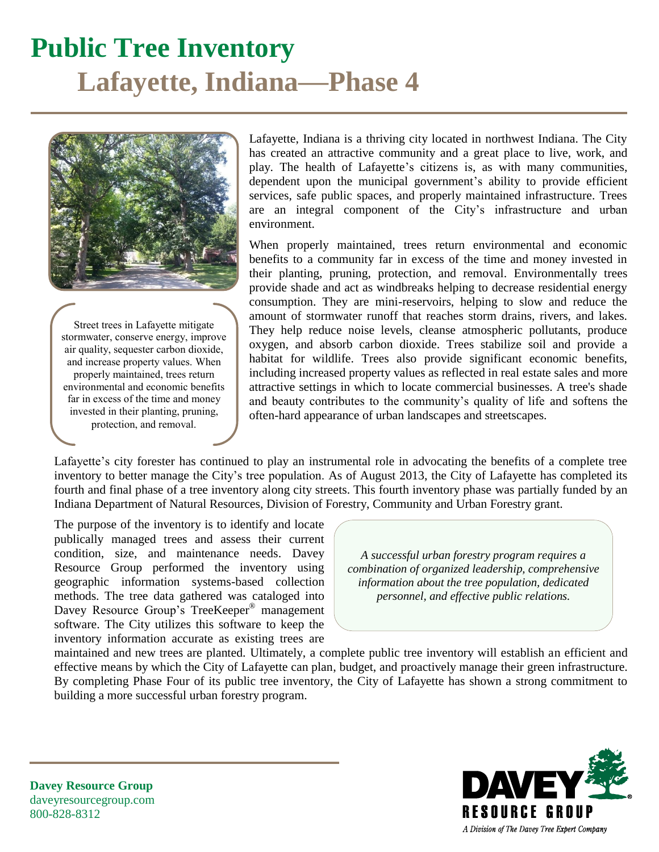### **Public Tree Inventory Lafayette, Indiana—Phase 4**



Street trees in Lafayette mitigate stormwater, conserve energy, improve air quality, sequester carbon dioxide, and increase property values. When properly maintained, trees return environmental and economic benefits far in excess of the time and money invested in their planting, pruning, protection, and removal.

Lafayette, Indiana is a thriving city located in northwest Indiana. The City has created an attractive community and a great place to live, work, and play. The health of Lafayette's citizens is, as with many communities, dependent upon the municipal government's ability to provide efficient services, safe public spaces, and properly maintained infrastructure. Trees are an integral component of the City's infrastructure and urban environment.

When properly maintained, trees return environmental and economic benefits to a community far in excess of the time and money invested in their planting, pruning, protection, and removal. Environmentally trees provide shade and act as windbreaks helping to decrease residential energy consumption. They are mini-reservoirs, helping to slow and reduce the amount of stormwater runoff that reaches storm drains, rivers, and lakes. They help reduce noise levels, cleanse atmospheric pollutants, produce oxygen, and absorb carbon dioxide. Trees stabilize soil and provide a habitat for wildlife. Trees also provide significant economic benefits, including increased property values as reflected in real estate sales and more attractive settings in which to locate commercial businesses. A tree's shade and beauty contributes to the community's quality of life and softens the often-hard appearance of urban landscapes and streetscapes.

Lafayette's city forester has continued to play an instrumental role in advocating the benefits of a complete tree inventory to better manage the City's tree population. As of August 2013, the City of Lafayette has completed its fourth and final phase of a tree inventory along city streets. This fourth inventory phase was partially funded by an Indiana Department of Natural Resources, Division of Forestry, Community and Urban Forestry grant.

The purpose of the inventory is to identify and locate publically managed trees and assess their current condition, size, and maintenance needs. Davey Resource Group performed the inventory using geographic information systems-based collection methods. The tree data gathered was cataloged into Davey Resource Group's TreeKeeper® management software. The City utilizes this software to keep the inventory information accurate as existing trees are

*A successful urban forestry program requires a combination of organized leadership, comprehensive information about the tree population, dedicated personnel, and effective public relations.*

maintained and new trees are planted. Ultimately, a complete public tree inventory will establish an efficient and effective means by which the City of Lafayette can plan, budget, and proactively manage their green infrastructure. By completing Phase Four of its public tree inventory, the City of Lafayette has shown a strong commitment to building a more successful urban forestry program.



**Davey Resource Group** daveyresourcegroup.com 800-828-8312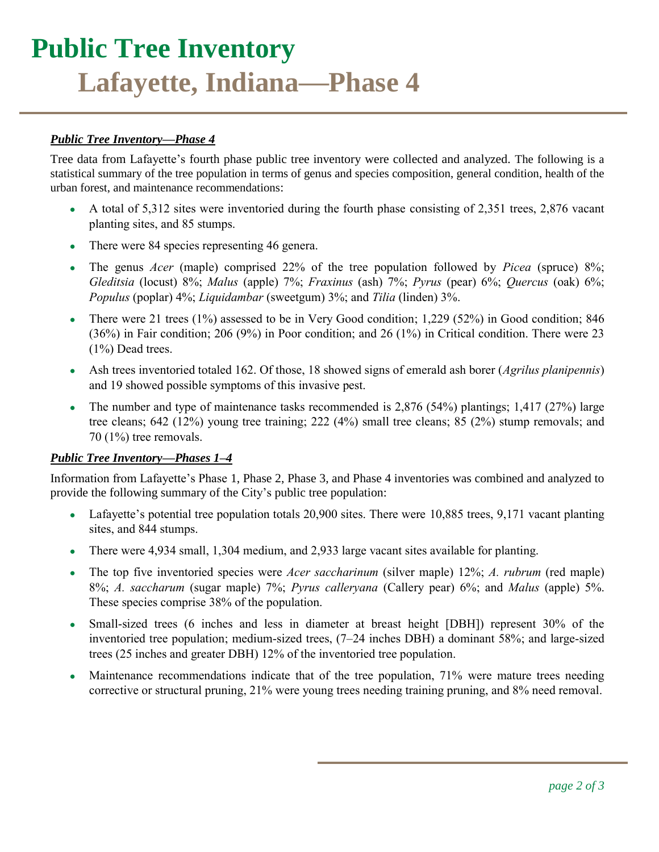# **Public Tree Inventory Lafayette, Indiana—Phase 4**

#### *Public Tree Inventory—Phase 4*

Tree data from Lafayette's fourth phase public tree inventory were collected and analyzed. The following is a statistical summary of the tree population in terms of genus and species composition, general condition, health of the urban forest, and maintenance recommendations:

- $\bullet$  A total of 5,312 sites were inventoried during the fourth phase consisting of 2,351 trees, 2,876 vacant planting sites, and 85 stumps.
- There were 84 species representing 46 genera.
- The genus *Acer* (maple) comprised 22% of the tree population followed by *Picea* (spruce) 8%; *Gleditsia* (locust) 8%; *Malus* (apple) 7%; *Fraxinus* (ash) 7%; *Pyrus* (pear) 6%; *Quercus* (oak) 6%; *Populus* (poplar) 4%; *Liquidambar* (sweetgum) 3%; and *Tilia* (linden) 3%.
- There were 21 trees (1%) assessed to be in Very Good condition; 1,229 (52%) in Good condition; 846 (36%) in Fair condition; 206 (9%) in Poor condition; and 26 (1%) in Critical condition. There were 23 (1%) Dead trees.
- Ash trees inventoried totaled 162. Of those, 18 showed signs of emerald ash borer (*Agrilus planipennis*) and 19 showed possible symptoms of this invasive pest.
- The number and type of maintenance tasks recommended is  $2,876$  (54%) plantings; 1,417 (27%) large tree cleans; 642 (12%) young tree training; 222 (4%) small tree cleans; 85 (2%) stump removals; and 70 (1%) tree removals.

#### *Public Tree Inventory—Phases 1–4*

Information from Lafayette's Phase 1, Phase 2, Phase 3, and Phase 4 inventories was combined and analyzed to provide the following summary of the City's public tree population:

- Lafayette's potential tree population totals 20,900 sites. There were 10,885 trees, 9,171 vacant planting sites, and 844 stumps.
- There were 4,934 small, 1,304 medium, and 2,933 large vacant sites available for planting.
- The top five inventoried species were *Acer saccharinum* (silver maple) 12%; *A. rubrum* (red maple) 8%; *A. saccharum* (sugar maple) 7%; *Pyrus calleryana* (Callery pear) 6%; and *Malus* (apple) 5%. These species comprise 38% of the population.
- Small-sized trees (6 inches and less in diameter at breast height [DBH]) represent 30% of the inventoried tree population; medium-sized trees, (7–24 inches DBH) a dominant 58%; and large-sized trees (25 inches and greater DBH) 12% of the inventoried tree population.
- Maintenance recommendations indicate that of the tree population, 71% were mature trees needing corrective or structural pruning, 21% were young trees needing training pruning, and 8% need removal.